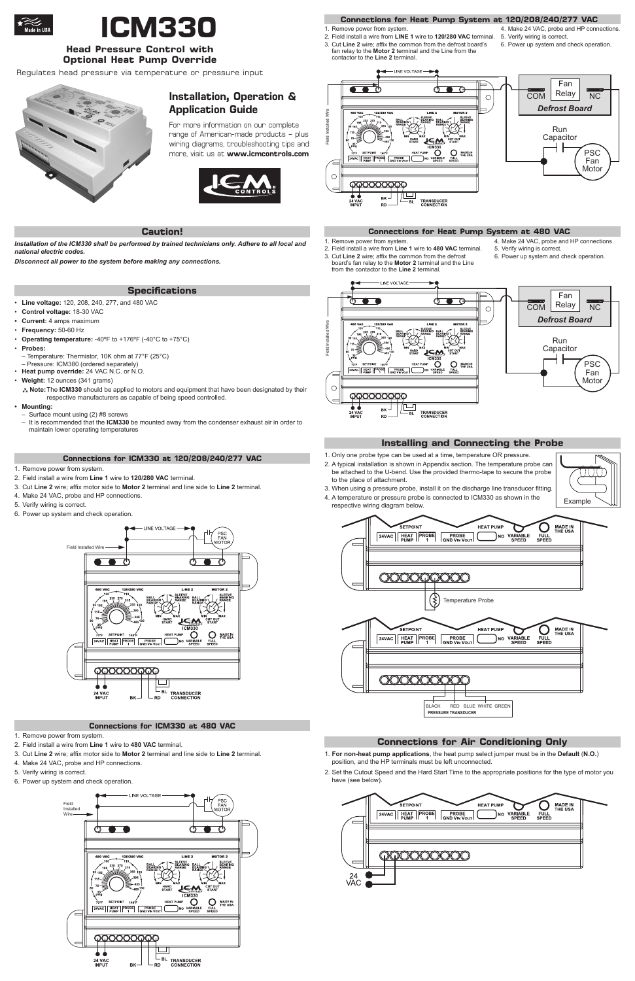# **Installation, Operation & Application Guide**

For more information on our complete range of American-made products – plus wiring diagrams, troubleshooting tips and more, visit us at **www.icmcontrols.com**



*Installation of the ICM330 shall be performed by trained technicians only. Adhere to all local and national electric codes.* 

*Disconnect all power to the system before making any connections.*

#### **Caution!**

- **Line voltage:** 120, 208, 240, 277, and 480 VAC
- Control voltage: 18-30 VAC
- **• Current:** 4 amps maximum
- • **Frequency:** 50-60 Hz
- • **Operating temperature:** -40ºF to +176ºF (-40°C to +75°C)
- • **Probes:**
- Temperature: Thermistor, 10K ohm at 77°F (25°C) – Pressure: ICM380 (ordered separately)
- • **Heat pump override:** 24 VAC N.C. or N.O.
- **Weight:** 12 ounces (341 grams)
- $**$  Note: The ICM330 should be applied to motors and equipment that have been designated by their respective manufacturers as capable of being speed controlled.

- 1. Remove power from system.
- 2. Field install a wire from **Line 1** wire to **120/280 VAC** terminal.
- 3. Cut **Line 2** wire; affix motor side to **Motor 2** terminal and line side to **Line 2** terminal.
- 4. Make 24 VAC, probe and HP connections.
- 5. Verify wiring is correct.
- 6. Power up system and check operation.

#### **• Mounting:**

- 1. Remove power from system.
- 2. Field install a wire from **Line 1** wire to **480 VAC** terminal.
- 3. Cut **Line 2** wire; affix motor side to **Motor 2** terminal and line side to **Line 2** terminal.
- 4. Make 24 VAC, probe and HP connections.
- 5. Verify wiring is correct.
- 6. Power up system and check operation.
- – Surface mount using (2) #8 screws
- It is recommended that the ICM330 be mounted away from the condenser exhaust air in order to maintain lower operating temperatures

### **Specifications**



**ICM330**

# **Head Pressure Control with Optional Heat Pump Override**



### **Connections for ICM330 at 120/208/240/277 VAC**

- 1. Remove power from system.
- 2. Field install a wire from **LINE 1** wire to **120/280 VAC** terminal. 3. Cut **Line 2** wire; affix the common from the defrost board's fan relay to the **Motor 2** terminal and the Line from the contactor to the **Line 2** terminal.
- 4. Make 24 VAC, probe and HP connections.
	- 5. Verify wiring is correct.
	- 6. Power up system and check operation.

- 1. Only one probe type can be used at a time, temperature OR pressure.
- 2. A typical installation is shown in Appendix section. The temperature probe can be attached to the U-bend. Use the provided thermo-tape to secure the probe to the place of attachment.



#### **Connections for ICM330 at 480 VAC**



#### **Connections for Heat Pump System at 480 VAC**

#### 1. Remove power from system.

- 2. Field install a wire from **Line 1** wire to **480 VAC** terminal. 3. Cut **Line 2** wire; affix the common from the defrost
	- board's fan relay to the **Motor 2** terminal and the Line from the contactor to the **Line 2** terminal.
- 4. Make 24 VAC, probe and HP connections.
	- 5. Verify wiring is correct.
	- 6. Power up system and check operation.

### **Connections for Heat Pump System at 120/208/240/277 VAC**



- 3. When using a pressure probe, install it on the discharge line transducer fitting. 4. A temperature or pressure probe is connected to ICM330 as shown in the respective wiring diagram below.
- **MADE IN<br>THE USA** ETPOINT **HEAT PUMF** Ő FULL<br>SPEED 24VAC HEAT PROBE PROBE NO VARIABLE 000000000 Temperature Probe SETPOINT **HEAT PUMP MADE IN**<br>THE USA  $\left| \begin{array}{c} 24 \text{VAC} \\ \text{PUMP} \end{array} \right| \left| \begin{array}{c} \text{PROBE} \\ 1 \end{array} \right|$ **PROBE**<br>GND VIN VOUT **VARIABLE**<br>SPEED NO FULL<br>SPEED
- - - -

### **Installing and Connecting the Probe**

BLACK RED BLUE WHITE GREEN

**PRESSURE TRANSDUCER**





- 1. **For non-heat pump applications**, the heat pump select jumper must be in the **Default** (**N.O.**) position, and the HP terminals must be left unconnected.
- 2. Set the Cutout Speed and the Hard Start Time to the appropriate positions for the type of motor you have (see below).



### **Connections for Air Conditioning Only**